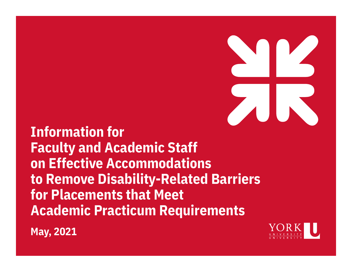**Information for Faculty and Academic Staff on Effective Accommodations to Remove Disability-Related Barriers for Placements that Meet Academic Practicum Requirements**



**May, 2021**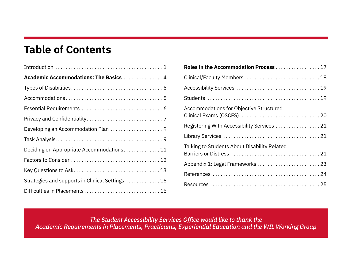# **Table of Contents**

| Academic Accommodations: The Basics  4           |
|--------------------------------------------------|
|                                                  |
|                                                  |
|                                                  |
|                                                  |
|                                                  |
|                                                  |
| Deciding on Appropriate Accommodations11         |
|                                                  |
|                                                  |
| Strategies and supports in Clinical Settings  15 |
|                                                  |

| Roles in the Accommodation Process 17          |
|------------------------------------------------|
| Clinical/Faculty Members 18                    |
|                                                |
|                                                |
| <b>Accommodations for Objective Structured</b> |
| Registering With Accessibility Services  21    |
|                                                |
| Talking to Students About Disability Related   |
|                                                |
|                                                |
|                                                |

*The Student Accessibility Services Office would like to thank the Academic Requirements in Placements, Practicums, Experiential Education and the WIL Working Group*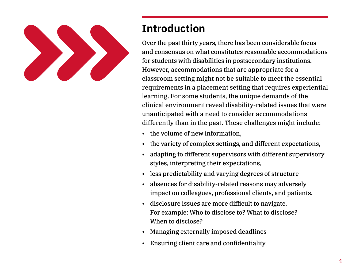

# **Introduction**

Over the past thirty years, there has been considerable focus and consensus on what constitutes reasonable accommodations for students with disabilities in postsecondary institutions. However, accommodations that are appropriate for a classroom setting might not be suitable to meet the essential requirements in a placement setting that requires experiential learning. For some students, the unique demands of the clinical environment reveal disability-related issues that were unanticipated with a need to consider accommodations differently than in the past. These challenges might include:

- the volume of new information,
- the variety of complex settings, and different expectations,
- adapting to different supervisors with different supervisory styles, interpreting their expectations,
- less predictability and varying degrees of structure
- absences for disability-related reasons may adversely impact on colleagues, professional clients, and patients.
- disclosure issues are more difficult to navigate. For example: Who to disclose to? What to disclose? When to disclose?
- Managing externally imposed deadlines
- Ensuring client care and confidentiality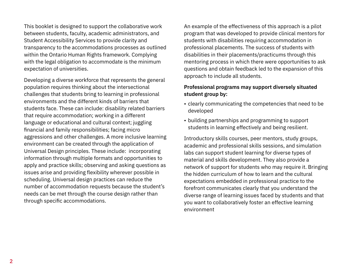This booklet is designed to support the collaborative work between students, faculty, academic administrators, and Student Accessibility Services to provide clarity and transparency to the accommodations processes as outlined within the Ontario Human Rights framework. Complying with the legal obligation to accommodate is the minimum expectation of universities.

Developing a diverse workforce that represents the general population requires thinking about the intersectional challenges that students bring to learning in professional environments and the different kinds of barriers that students face. These can include: disability related barriers that require accommodation; working in a different language or educational and cultural context; juggling financial and family responsibilities; facing micro aggressions and other challenges. A more inclusive learning environment can be created through the application of Universal Design principles. These include: incorporating information through multiple formats and opportunities to apply and practice skills; observing and asking questions as issues arise and providing flexibility wherever possible in scheduling. Universal design practices can reduce the number of accommodation requests because the student's needs can be met through the course design rather than through specific accommodations.

An example of the effectiveness of this approach is a pilot program that was developed to provide clinical mentors for students with disabilities requiring accommodation in professional placements. The success of students with disabilities in their placements/practicums through this mentoring process in which there were opportunities to ask questions and obtain feedback led to the expansion of this approach to include all students.

#### **Professional programs may support diversely situated student group by:**

- clearly communicating the competencies that need to be developed
- building partnerships and programming to support students in learning effectively and being resilient.

Introductory skills courses, peer mentors, study groups, academic and professional skills sessions, and simulation labs can support student learning for diverse types of material and skills development. They also provide a network of support for students who may require it. Bringing the hidden curriculum of how to learn and the cultural expectations embedded in professional practice to the forefront communicates clearly that you understand the diverse range of learning issues faced by students and that you want to collaboratively foster an effective learning environment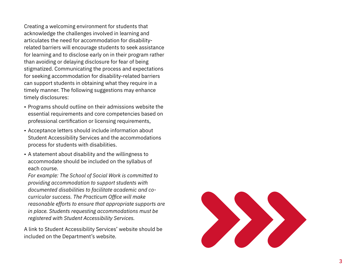Creating a welcoming environment for students that acknowledge the challenges involved in learning and articulates the need for accommodation for disabilityrelated barriers will encourage students to seek assistance for learning and to disclose early on in their program rather than avoiding or delaying disclosure for fear of being stigmatized . Communicating the process and expectations for seeking accommodation for disability-related barriers can support students in obtaining what they require in a timely manner . The following suggestions may enhance timely disclosures:

- Programs should outline on their admissions website the essential requirements and core competencies based on professional certification or licensing requirements,
- Acceptance letters should include information about Student Accessibility Services and the accommodations process for students with disabilities .
- A statement about disability and the willingness to accommodate should be included on the syllabus of each course .

*For example: The School of Social Work is committed to providing accommodation to support students with documented disabilities to facilitate academic and cocurricular success. The Practicum Office will make reasonable efforts to ensure that appropriate supports are in place. Students requesting accommodations must be registered with Student Accessibility Services.*

A link to Student Accessibility Services' website should be included on the Department's website .

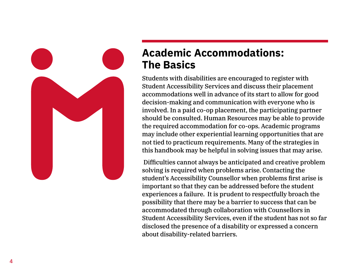

# **Academic Accommodations: The Basics**

Students with disabilities are encouraged to register with Student Accessibility Services and discuss their placement accommodations well in advance of its start to allow for good decision-making and communication with everyone who is involved. In a paid co-op placement, the participating partner should be consulted. Human Resources may be able to provide the required accommodation for co-ops. Academic programs may include other experiential learning opportunities that are not tied to practicum requirements. Many of the strategies in this handbook may be helpful in solving issues that may arise.

 Difficulties cannot always be anticipated and creative problem solving is required when problems arise. Contacting the student's Accessibility Counsellor when problems first arise is important so that they can be addressed before the student experiences a failure. It is prudent to respectfully broach the possibility that there may be a barrier to success that can be accommodated through collaboration with Counsellors in Student Accessibility Services, even if the student has not so far disclosed the presence of a disability or expressed a concern about disability-related barriers.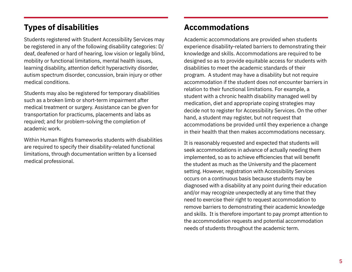# **Types of disabilities**

Students registered with Student Accessibility Services may be registered in any of the following disability categories: D/ deaf, deafened or hard of hearing, low vision or legally blind, mobility or functional limitations, mental health issues, learning disability, attention deficit hyperactivity disorder, autism spectrum disorder, concussion, brain injury or other medical conditions.

Students may also be registered for temporary disabilities such as a broken limb or short-term impairment after medical treatment or surgery. Assistance can be given for transportation for practicums, placements and labs as required; and for problem-solving the completion of academic work.

Within Human Rights frameworks students with disabilities are required to specify their disability-related functional limitations, through documentation written by a licensed medical professional.

# **Accommodations**

Academic accommodations are provided when students experience disability-related barriers to demonstrating their knowledge and skills. Accommodations are required to be designed so as to provide equitable access for students with disabilities to meet the academic standards of their program. A student may have a disability but not require accommodation if the student does not encounter barriers in relation to their functional limitations. For example, a student with a chronic health disability managed well by medication, diet and appropriate coping strategies may decide not to register for Accessibility Services. On the other hand, a student may register, but not request that accommodations be provided until they experience a change in their health that then makes accommodations necessary.

It is reasonably requested and expected that students will seek accommodations in advance of actually needing them implemented, so as to achieve efficiencies that will benefit the student as much as the University and the placement setting. However, registration with Accessibility Services occurs on a continuous basis because students may be diagnosed with a disability at any point during their education and/or may recognize unexpectedly at any time that they need to exercise their right to request accommodation to remove barriers to demonstrating their academic knowledge and skills. It is therefore important to pay prompt attention to the accommodation requests and potential accommodation needs of students throughout the academic term.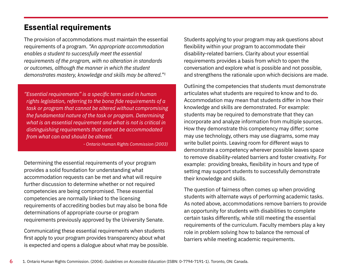### **Essential requirements**

The provision of accommodations must maintain the essential requirements of a program. *"An appropriate accommodation enables a student to successfully meet the essential requirements of the program, with no alteration in standards or outcomes, although the manner in which the student demonstrates mastery, knowledge and skills may be altered."1*

*"Essential requirements" is a specific term used in human rights legislation, referring to the bona fide requirements of a task or program that cannot be altered without compromising the fundamental nature of the task or program. Determining what is an essential requirement and what is not is critical in distinguishing requirements that cannot be accommodated from what can and should be altered.*

*- Ontario Human Rights Commission (2003)*

Determining the essential requirements of your program provides a solid foundation for understanding what accommodation requests can be met and what will require further discussion to determine whether or not required competencies are being compromised. These essential competencies are normally linked to the licensing requirements of accrediting bodies but may also be bona fide determinations of appropriate course or program requirements previously approved by the University Senate.

Communicating these essential requirements when students first apply to your program provides transparency about what is expected and opens a dialogue about what may be possible. Students applying to your program may ask questions about flexibility within your program to accommodate their disability-related barriers. Clarity about your essential requirements provides a basis from which to open the conversation and explore what is possible and not possible, and strengthens the rationale upon which decisions are made.

Outlining the competencies that students must demonstrate articulates what students are required to know and to do. Accommodation may mean that students differ in how their knowledge and skills are demonstrated. For example: students may be required to demonstrate that they can incorporate and analyze information from multiple sources. How they demonstrate this competency may differ; some may use technology, others may use diagrams, some may write bullet points. Leaving room for different ways to demonstrate a competency wherever possible leaves space to remove disability-related barriers and foster creativity. For example: providing breaks, flexibility in hours and type of setting may support students to successfully demonstrate their knowledge and skills.

The question of fairness often comes up when providing students with alternate ways of performing academic tasks. As noted above, accommodations remove barriers to provide an opportunity for students with disabilities to complete certain tasks differently, while still meeting the essential requirements of the curriculum. Faculty members play a key role in problem solving how to balance the removal of barriers while meeting academic requirements.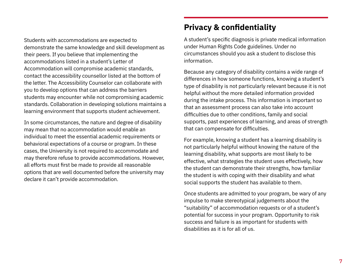Students with accommodations are expected to demonstrate the same knowledge and skill development as their peers. If you believe that implementing the accommodations listed in a student's Letter of Accommodation will compromise academic standards, contact the accessibility counsellor listed at the bottom of the letter. The Accessibility Counselor can collaborate with you to develop options that can address the barriers students may encounter while not compromising academic standards. Collaboration in developing solutions maintains a learning environment that supports student achievement.

In some circumstances, the nature and degree of disability may mean that no accommodation would enable an individual to meet the essential academic requirements or behavioral expectations of a course or program. In these cases, the University is not required to accommodate and may therefore refuse to provide accommodations. However, all efforts must first be made to provide all reasonable options that are well documented before the university may declare it can't provide accommodation.

# **Privacy & confidentiality**

A student's specific diagnosis is private medical information under Human Rights Code guidelines. Under no circumstances should you ask a student to disclose this information.

Because any category of disability contains a wide range of differences in how someone functions, knowing a student's type of disability is not particularly relevant because it is not helpful without the more detailed information provided during the intake process. This information is important so that an assessment process can also take into account difficulties due to other conditions, family and social supports, past experiences of learning, and areas of strength that can compensate for difficulties.

For example, knowing a student has a learning disability is not particularly helpful without knowing the nature of the learning disability, what supports are most likely to be effective, what strategies the student uses effectively, how the student can demonstrate their strengths, how familiar the student is with coping with their disability and what social supports the student has available to them.

Once students are admitted to your program, be wary of any impulse to make stereotypical judgements about the "suitability" of accommodation requests or of a student's potential for success in your program. Opportunity to risk success and failure is as important for students with disabilities as it is for all of us.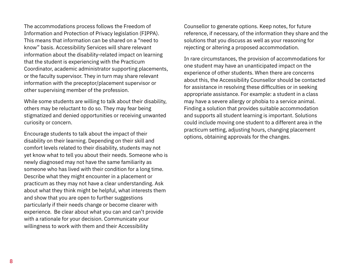The accommodations process follows the Freedom of Information and Protection of Privacy legislation (FIPPA). This means that information can be shared on a "need to know" basis. Accessibility Services will share relevant information about the disability-related impact on learning that the student is experiencing with the Practicum Coordinator, academic administrator supporting placements, or the faculty supervisor. They in turn may share relevant information with the preceptor/placement supervisor or other supervising member of the profession.

While some students are willing to talk about their disability, others may be reluctant to do so. They may fear being stigmatized and denied opportunities or receiving unwanted curiosity or concern.

Encourage students to talk about the impact of their disability on their learning. Depending on their skill and comfort levels related to their disability, students may not yet know what to tell you about their needs. Someone who is newly diagnosed may not have the same familiarity as someone who has lived with their condition for a long time. Describe what they might encounter in a placement or practicum as they may not have a clear understanding. Ask about what they think might be helpful, what interests them and show that you are open to further suggestions particularly if their needs change or become clearer with experience. Be clear about what you can and can't provide with a rationale for your decision. Communicate your willingness to work with them and their Accessibility

Counsellor to generate options. Keep notes, for future reference, if necessary, of the information they share and the solutions that you discuss as well as your reasoning for rejecting or altering a proposed accommodation.

In rare circumstances, the provision of accommodations for one student may have an unanticipated impact on the experience of other students. When there are concerns about this, the Accessibility Counsellor should be contacted for assistance in resolving these difficulties or in seeking appropriate assistance. For example: a student in a class may have a severe allergy or phobia to a service animal. Finding a solution that provides suitable accommodation and supports all student learning is important. Solutions could include moving one student to a different area in the practicum setting, adjusting hours, changing placement options, obtaining approvals for the changes.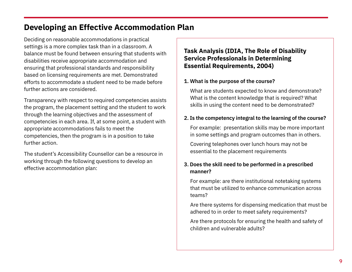# **Developing an Effective Accommodation Plan**

Deciding on reasonable accommodations in practical settings is a more complex task than in a classroom. A balance must be found between ensuring that students with disabilities receive appropriate accommodation and ensuring that professional standards and responsibility based on licensing requirements are met. Demonstrated efforts to accommodate a student need to be made before further actions are considered.

Transparency with respect to required competencies assists the program, the placement setting and the student to work through the learning objectives and the assessment of competencies in each area. If, at some point, a student with appropriate accommodations fails to meet the competencies, then the program is in a position to take further action.

The student's Accessibility Counsellor can be a resource in working through the following questions to develop an effective accommodation plan:

#### **Task Analysis (IDIA, The Role of Disability Service Professionals in Determining Essential Requirements, 2004)**

#### **1. What is the purpose of the course?**

 What are students expected to know and demonstrate? What is the content knowledge that is required? What skills in using the content need to be demonstrated?

#### **2. Is the competency integral to the learning of the course?**

 For example: presentation skills may be more important in some settings and program outcomes than in others.

 Covering telephones over lunch hours may not be essential to the placement requirements

#### **3. Does the skill need to be performed in a prescribed manner?**

 For example: are there institutional notetaking systems that must be utilized to enhance communication across teams?

 Are there systems for dispensing medication that must be adhered to in order to meet safety requirements?

 Are there protocols for ensuring the health and safety of children and vulnerable adults?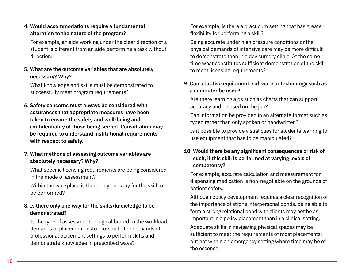#### **4. Would accommodations require a fundamental alteration to the nature of the program?**

 For example, an aide working under the clear direction of a student is different from an aide performing a task without direction.

#### **5. What are the outcome variables that are absolutely necessary? Why?**

 What knowledge and skills must be demonstrated to successfully meet program requirements?

**6. Safety concerns must always be considered with assurances that appropriate measures have been taken to ensure the safety and well-being and confidentiality of those being served. Consultation may be required to understand institutional requirements with respect to safety.**

#### **7. What methods of assessing outcome variables are absolutely necessary? Why?**

 What specific licensing requirements are being considered in the mode of assessment?

 Within the workplace is there only one way for the skill to be performed?

#### **8. Is there only one way for the skills/knowledge to be demonstrated?**

 Is the type of assessment being calibrated to the workload demands of placement instructors or to the demands of professional placement settings to perform skills and demonstrate knowledge in prescribed ways?

 For example, is there a practicum setting that has greater flexibility for performing a skill?

 Being accurate under high pressure conditions or the physical demands of intensive care may be more difficult to demonstrate then in a day surgery clinic. At the same time what constitutes sufficient demonstration of the skill to meet licensing requirements?

#### **9. Can adaptive equipment, software or technology such as a computer be used?**

 Are there learning aids such as charts that can support accuracy and be used on the job?

 Can information be provided in an alternate format such as typed rather than only spoken or handwritten?

 Is it possible to provide visual cues for students learning to use equipment that has to be manipulated?

#### **10. Would there be any significant consequences or risk of such, if this skill is performed at varying levels of competency?**

 For example, accurate calculation and measurement for dispensing medication is non-negotiable on the grounds of patient safety.

 Although policy development requires a clear recognition of the importance of strong interpersonal bonds, being able to form a strong relational bond with clients may not be as important in a policy placement than in a clinical setting.

 Adequate skills in navigating physical spaces may be sufficient to meet the requirements of most placements; but not within an emergency setting where time may be of the essence.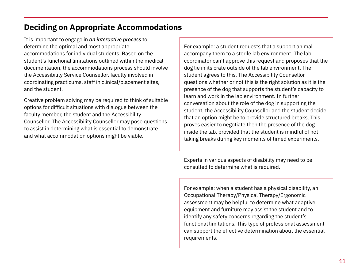# **Deciding on Appropriate Accommodations**

It is important to engage in *an interactive process* to determine the optimal and most appropriate accommodations for individual students. Based on the student's functional limitations outlined within the medical documentation, the accommodations process should involve the Accessibility Service Counsellor, faculty involved in coordinating practicums, staff in clinical/placement sites, and the student.

Creative problem solving may be required to think of suitable options for difficult situations with dialogue between the faculty member, the student and the Accessibility Counsellor. The Accessibility Counsellor may pose questions to assist in determining what is essential to demonstrate and what accommodation options might be viable.

For example: a student requests that a support animal accompany them to a sterile lab environment. The lab coordinator can't approve this request and proposes that the dog lie in its crate outside of the lab environment. The student agrees to this. The Accessibility Counsellor questions whether or not this is the right solution as it is the presence of the dog that supports the student's capacity to learn and work in the lab environment. In further conversation about the role of the dog in supporting the student, the Accessibility Counsellor and the student decide that an option might be to provide structured breaks. This proves easier to negotiate then the presence of the dog inside the lab, provided that the student is mindful of not taking breaks during key moments of timed experiments.

Experts in various aspects of disability may need to be consulted to determine what is required.

For example: when a student has a physical disability, an Occupational Therapy/Physical Therapy/Ergonomic assessment may be helpful to determine what adaptive equipment and furniture may assist the student and to identify any safety concerns regarding the student's functional limitations. This type of professional assessment can support the effective determination about the essential requirements.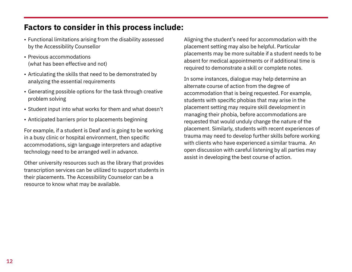## **Factors to consider in this process include:**

- Functional limitations arising from the disability assessed by the Accessibility Counsellor
- Previous accommodations (what has been effective and not)
- Articulating the skills that need to be demonstrated by analyzing the essential requirements
- Generating possible options for the task through creative problem solving
- Student input into what works for them and what doesn't
- Anticipated barriers prior to placements beginning

For example, if a student is Deaf and is going to be working in a busy clinic or hospital environment, then specific accommodations, sign language interpreters and adaptive technology need to be arranged well in advance.

Other university resources such as the library that provides transcription services can be utilized to support students in their placements. The Accessibility Counselor can be a resource to know what may be available.

Aligning the student's need for accommodation with the placement setting may also be helpful. Particular placements may be more suitable if a student needs to be absent for medical appointments or if additional time is required to demonstrate a skill or complete notes.

In some instances, dialogue may help determine an alternate course of action from the degree of accommodation that is being requested. For example, students with specific phobias that may arise in the placement setting may require skill development in managing their phobia, before accommodations are requested that would unduly change the nature of the placement. Similarly, students with recent experiences of trauma may need to develop further skills before working with clients who have experienced a similar trauma. An open discussion with careful listening by all parties may assist in developing the best course of action.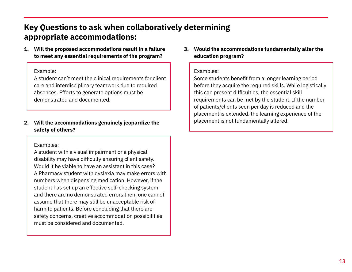# **Key Questions to ask when collaboratively determining appropriate accommodations:**

**1. Will the proposed accommodations result in a failure to meet any essential requirements of the program?** 

#### Example:

A student can't meet the clinical requirements for client care and interdisciplinary teamwork due to required absences. Efforts to generate options must be demonstrated and documented.

#### **2. Will the accommodations genuinely jeopardize the safety of others?**

#### Examples:

A student with a visual impairment or a physical disability may have difficulty ensuring client safety. Would it be viable to have an assistant in this case? A Pharmacy student with dyslexia may make errors with numbers when dispensing medication. However, if the student has set up an effective self-checking system and there are no demonstrated errors then, one cannot assume that there may still be unacceptable risk of harm to patients. Before concluding that there are safety concerns, creative accommodation possibilities must be considered and documented.

**3. Would the accommodations fundamentally alter the education program?**

#### Examples:

Some students benefit from a longer learning period before they acquire the required skills. While logistically this can present difficulties, the essential skill requirements can be met by the student. If the number of patients/clients seen per day is reduced and the placement is extended, the learning experience of the placement is not fundamentally altered.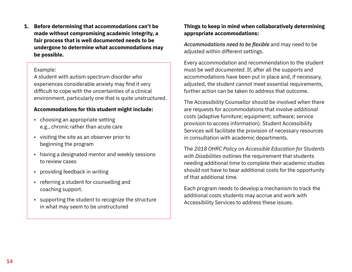**1. Before determining that accommodations can't be made without compromising academic integrity, a fair process that is well documented needs to be undergone to determine what accommodations may be possible.** 

#### Example:

A student with autism spectrum disorder who experiences considerable anxiety may find it very difficult to cope with the uncertainties of a clinical environment, particularly one that is quite unstructured.

#### **Accommodations for this student might include:**

- choosing an appropriate setting e.g., chronic rather than acute care
- visiting the site as an observer prior to beginning the program
- having a designated mentor and weekly sessions to review cases
- providing feedback in writing
- referring a student for counselling and coaching support.
- supporting the student to recognize the structure in what may seem to be unstructured

#### **Things to keep in mind when collaboratively determining appropriate accommodations:**

*Accommodations need to be flexible* and may need to be adjusted within different settings.

Every accommodation and recommendation to the student must be *well documented*. If, after all the supports and accommodations have been put in place and, if necessary, adjusted, the student cannot meet essential requirements, further action can be taken to address that outcome.

The Accessibility Counsellor should be involved when there are requests for accommodations that involve *additional costs* (adaptive furniture; equipment; software; service provision to access information). Student Accessibility Services will facilitate the provision of necessary resources in consultation with academic departments.

The *2018 OHRC Policy on Accessible Education for Students with Disabilities* outlines the requirement that students needing additional time to complete their academic studies should not have to bear additional costs for the opportunity of that additional time.

Each program needs to develop a mechanism to track the additional costs students may accrue and work with Accessibility Services to address these issues.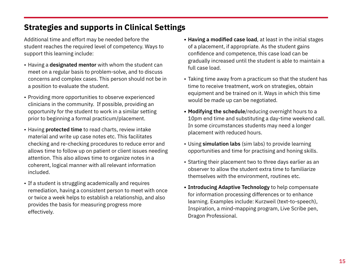# **Strategies and supports in Clinical Settings**

Additional time and effort may be needed before the student reaches the required level of competency. Ways to support this learning include:

- Having a **designated mentor** with whom the student can meet on a regular basis to problem-solve, and to discuss concerns and complex cases. This person should not be in a position to evaluate the student.
- Providing more opportunities to observe experienced clinicians in the community. If possible, providing an opportunity for the student to work in a similar setting prior to beginning a formal practicum/placement.
- Having **protected time** to read charts, review intake material and write up case notes etc. This facilitates checking and re-checking procedures to reduce error and allows time to follow up on patient or client issues needing attention. This also allows time to organize notes in a coherent, logical manner with all relevant information included.
- If a student is struggling academically and requires remediation, having a consistent person to meet with once or twice a week helps to establish a relationship, and also provides the basis for measuring progress more effectively.
- **• Having a modified case load**, at least in the initial stages of a placement, if appropriate. As the student gains confidence and competence, this case load can be gradually increased until the student is able to maintain a full case load.
- Taking time away from a practicum so that the student has time to receive treatment, work on strategies, obtain equipment and be trained on it. Ways in which this time would be made up can be negotiated.
- **• Modifying the schedule**/reducing overnight hours to a 10pm end time and substituting a day-time weekend call. In some circumstances students may need a longer placement with reduced hours.
- Using **simulation labs** (sim labs) to provide learning opportunities and time for practising and honing skills.
- Starting their placement two to three days earlier as an observer to allow the student extra time to familiarize themselves with the environment, routines etc.
- **• Introducing Adaptive Technology** to help compensate for information processing differences or to enhance learning. Examples include: Kurzweil (text-to-speech), Inspiration, a mind-mapping program, Live Scribe pen, Dragon Professional.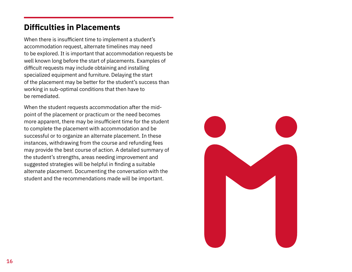# **Difficulties in Placements**

When there is insufficient time to implement a student's accommodation request, alternate timelines may need to be explored. It is important that accommodation requests be well known long before the start of placements. Examples of difficult requests may include obtaining and installing specialized equipment and furniture. Delaying the start of the placement may be better for the student's success than working in sub-optimal conditions that then have to be remediated.

When the student requests accommodation after the midpoint of the placement or practicum or the need becomes more apparent, there may be insufficient time for the student to complete the placement with accommodation and be successful or to organize an alternate placement. In these instances, withdrawing from the course and refunding fees may provide the best course of action. A detailed summary of the student's strengths, areas needing improvement and suggested strategies will be helpful in finding a suitable alternate placement. Documenting the conversation with the student and the recommendations made will be important.

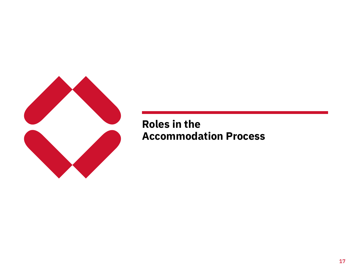

# **Roles in the Accommodation Process**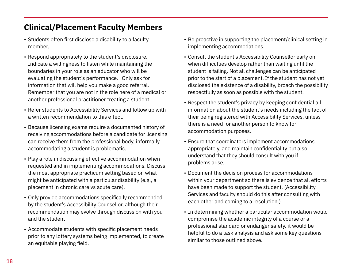# **Clinical/Placement Faculty Members**

- Students often first disclose a disability to a faculty member.
- Respond appropriately to the student's disclosure. Indicate a willingness to listen while maintaining the boundaries in your role as an educator who will be evaluating the student's performance. Only ask for information that will help you make a good referral. Remember that you are not in the role here of a medical or another professional practitioner treating a student.
- Refer students to Accessibility Services and follow up with a written recommendation to this effect.
- Because licensing exams require a documented history of receiving accommodations before a candidate for licensing can receive them from the professional body, informally accommodating a student is problematic.
- Play a role in discussing effective accommodation when requested and in implementing accommodations. Discuss the most appropriate practicum setting based on what might be anticipated with a particular disability (e.g., a placement in chronic care vs acute care).
- Only provide accommodations specifically recommended by the student's Accessibility Counsellor, although their recommendation may evolve through discussion with you and the student
- Accommodate students with specific placement needs prior to any lottery systems being implemented, to create an equitable playing field.
- Be proactive in supporting the placement/clinical setting in implementing accommodations.
- Consult the student's Accessibility Counsellor early on when difficulties develop rather than waiting until the student is failing. Not all challenges can be anticipated prior to the start of a placement. If the student has not yet disclosed the existence of a disability, broach the possibility respectfully as soon as possible with the student.
- Respect the student's privacy by keeping confidential all information about the student's needs including the fact of their being registered with Accessibility Services, unless there is a need for another person to know for accommodation purposes.
- Ensure that coordinators implement accommodations appropriately, and maintain confidentiality but also understand that they should consult with you if problems arise.
- Document the decision process for accommodations within your department so there is evidence that all efforts have been made to support the student. (Accessibility Services and faculty should do this after consulting with each other and coming to a resolution.)
- In determining whether a particular accommodation would compromise the academic integrity of a course or a professional standard or endanger safety, it would be helpful to do a task analysis and ask some key questions similar to those outlined above.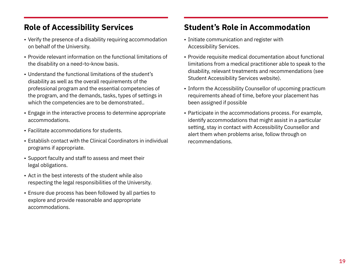# **Role of Accessibility Services**

- Verify the presence of a disability requiring accommodation on behalf of the University.
- Provide relevant information on the functional limitations of the disability on a need-to-know basis.
- Understand the functional limitations of the student's disability as well as the overall requirements of the professional program and the essential competencies of the program, and the demands, tasks, types of settings in which the competencies are to be demonstrated..
- Engage in the interactive process to determine appropriate accommodations.
- Facilitate accommodations for students.
- Establish contact with the Clinical Coordinators in individual programs if appropriate.
- Support faculty and staff to assess and meet their legal obligations.
- Act in the best interests of the student while also respecting the legal responsibilities of the University.
- Ensure due process has been followed by all parties to explore and provide reasonable and appropriate accommodations.

# **Student's Role in Accommodation**

- Initiate communication and register with Accessibility Services.
- Provide requisite medical documentation about functional limitations from a medical practitioner able to speak to the disability, relevant treatments and recommendations (see Student Accessibility Services website).
- Inform the Accessibility Counsellor of upcoming practicum requirements ahead of time, before your placement has been assigned if possible
- Participate in the accommodations process. For example, identify accommodations that might assist in a particular setting, stay in contact with Accessibility Counsellor and alert them when problems arise, follow through on recommendations.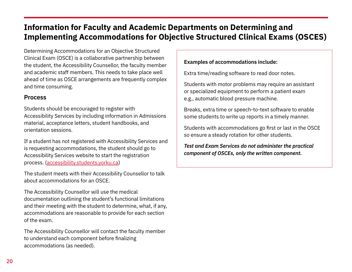# **Information for Faculty and Academic Departments on Determining and Implementing Accommodations for Objective Structured Clinical Exams (OSCES)**

Determining Accommodations for an Objective Structured Clinical Exam (OSCE) is a collaborative partnership between the student, the Accessibility Counsellor, the faculty member and academic staff members. This needs to take place well ahead of time as OSCE arrangements are frequently complex and time consuming.

#### **Process**

Students should be encouraged to register with Accessibility Services by including information in Admissions material, acceptance letters, student handbooks, and orientation sessions.

If a student has not registered with Accessibility Services and is requesting accommodations, the student should go to Accessibility Services website to start the registration process. [\(accessibility.students.yorku.ca](https://accessibility.students.yorku.ca/))

The student meets with their Accessibility Counsellor to talk about accommodations for an OSCE.

The Accessibility Counsellor will use the medical documentation outlining the student's functional limitations and their meeting with the student to determine, what, if any, accommodations are reasonable to provide for each section of the exam.

The Accessibility Counsellor will contact the faculty member to understand each component before finalizing accommodations (as needed).

#### **Examples of accommodations include:**

Extra time/reading software to read door notes.

Students with motor problems may require an assistant or specialized equipment to perform a patient exam e.g., automatic blood pressure machine.

Breaks, extra time or speech-to-text software to enable some students to write up reports in a timely manner.

Students with accommodations go first or last in the OSCE so ensure a steady rotation for other students.

*Test and Exam Services do not administer the practical component of OSCEs, only the written component.*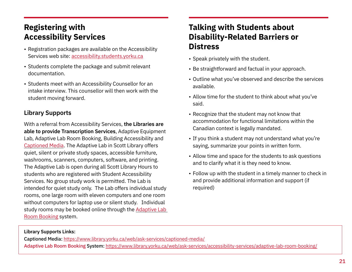# **Registering with Accessibility Services**

- Registration packages are available on the Accessibility Services web site: [accessibility.students.yorku.ca](https://accessibility.students.yorku.ca/)
- Students complete the package and submit relevant documentation.
- Students meet with an Accessibility Counsellor for an intake interview. This counsellor will then work with the student moving forward.

#### **Library Supports**

With a referral from Accessibility Services, **the Libraries are able to provide Transcription Services**, Adaptive Equipment Lab, Adaptive Lab Room Booking, Building Accessibility and [Captioned Media](https://www.library.yorku.ca/web/ask-services/accessibility-services/captioned-media/). The Adaptive Lab in Scott Library offers quiet, silent or private study spaces, accessible furniture, washrooms, scanners, computers, software, and printing. The Adaptive Lab is open during all Scott Library Hours to students who are registered with [Student Accessibility](https://accessibility.students.yorku.ca/)  [Services.](https://accessibility.students.yorku.ca/) No group study work is permitted. The Lab is intended for quiet study only. The Lab offers individual study rooms, one large room with eleven computers and one room without computers for laptop use or silent study. Individual study rooms may be booked online through the [Adaptive Lab](https://www.library.yorku.ca/web/ask-services/accessibility-services/adaptive-lab-room-booking/)  [Room Booking](https://www.library.yorku.ca/web/ask-services/accessibility-services/adaptive-lab-room-booking/) system.

# **Talking with Students about Disability-Related Barriers or Distress**

- Speak privately with the student.
- Be straightforward and factual in your approach.
- Outline what you've observed and describe the services available.
- Allow time for the student to think about what you've said.
- Recognize that the student may not know that accommodation for functional limitations within the Canadian context is legally mandated.
- If you think a student may not understand what you're saying, summarize your points in written form.
- Allow time and space for the students to ask questions and to clarify what it is they need to know.
- Follow up with the student in a timely manner to check in and provide additional information and support (if required)

#### **Library Supports Links:**

Captioned Media: <https://www.library.yorku.ca/web/ask-services/captioned-media/> [Adaptive Lab Room Booking](https://www.library.yorku.ca/web/ask-services/accessibility-services/adaptive-lab-room-booking/) System: <https://www.library.yorku.ca/web/ask-services/accessibility-services/adaptive-lab-room-booking/>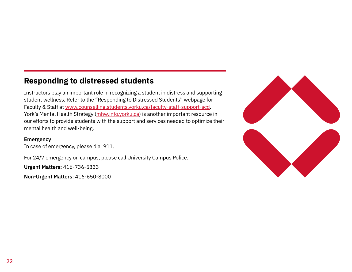# **Responding to distressed students**

Instructors play an important role in recognizing a student in distress and supporting student wellness. Refer to the "Responding to Distressed Students" webpage for Faculty & Staff at [www.counselling.students.yorku.ca/faculty-staff-support-scd](https://counselling.students.yorku.ca/faculty-staff-support-scd). York's Mental Health Strategy ([mhw.info.yorku.ca](https://mhw.info.yorku.ca/)) is another important resource in our efforts to provide students with the support and services needed to optimize their mental health and well-being.

#### **Emergency**

In case of emergency, please dial 911.

For 24/7 emergency on campus, please call University Campus Police:

**Urgent Matters:** 416-736-5333

**Non-Urgent Matters:** 416-650-8000

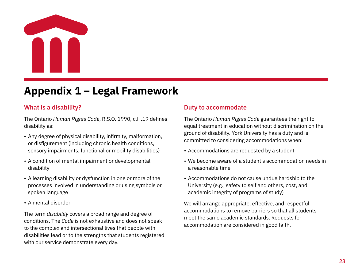

# **Appendix 1 – Legal Framework**

#### **What is a disability?**

The Ontario *Human Rights Code*, R.S.O. 1990, c.H.19 defines disability as:

- Any degree of physical disability, infirmity, malformation, or disfigurement (including chronic health conditions, sensory impairments, functional or mobility disabilities)
- A condition of mental impairment or developmental disability
- A learning disability or dysfunction in one or more of the processes involved in understanding or using symbols or spoken language
- A mental disorder

The term *disability* covers a broad range and degree of conditions. The *Code* is not exhaustive and does not speak to the complex and intersectional lives that people with disabilities lead or to the strengths that students registered with our service demonstrate every day.

#### **Duty to accommodate**

The Ontario *Human Rights Code* guarantees the right to equal treatment in education without discrimination on the ground of disability. York University has a duty and is committed to considering accommodations when:

- Accommodations are requested by a student
- We become aware of a student's accommodation needs in a reasonable time
- Accommodations do not cause undue hardship to the University (e.g., safety to self and others, cost, and academic integrity of programs of study)

We will arrange appropriate, effective, and respectful accommodations to remove barriers so that all students meet the same academic standards. Requests for accommodation are considered in good faith.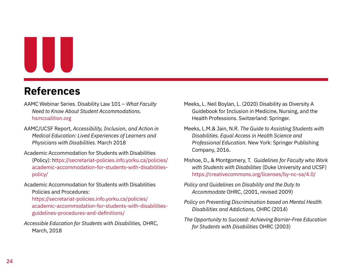# UU

# **References**

- AAMC Webinar Series. Disability Law 101 *What Faculty Need to Know About Student Accommodations.* [hsmcoalition.org](http://hsmcoalition.org)
- AAMC/UCSF Report, *Accessibility, Inclusion, and Action in Medical Education: Lived Experiences of Learners and Physicians with Disabilities.* March 2018
- Academic Accommodation for Students with Disabilities (Policy): h[ttps://secretariat-policies.info.yorku.ca/policies/](ttps://secretariat-policies.info.yorku.ca/policies/academic-accommodation-for-students-with-disabilities-policy/) [academic-accommodation-for-students-with-disabilities](ttps://secretariat-policies.info.yorku.ca/policies/academic-accommodation-for-students-with-disabilities-policy/)[policy/](ttps://secretariat-policies.info.yorku.ca/policies/academic-accommodation-for-students-with-disabilities-policy/)
- Academic Accommodation for Students with Disabilities Policies and Procedures:
	- [https://secretariat-policies.info.yorku.ca/policies/](https://secretariat-policies.info.yorku.ca/policies/academic-accommodation-for-students-with-disabilities-guidelines-procedures-and-definitions/) [academic-accommodation-for-students-with-disabilities](https://secretariat-policies.info.yorku.ca/policies/academic-accommodation-for-students-with-disabilities-guidelines-procedures-and-definitions/)[guidelines-procedures-and-definitions/](https://secretariat-policies.info.yorku.ca/policies/academic-accommodation-for-students-with-disabilities-guidelines-procedures-and-definitions/)
- *Accessible Education for Students with Disabilities,* OHRC, March, 2018
- Meeks, L. Neil Boylan, L. (2020) Disability as Diversity A Guidebook for Inclusion in Medicine, Nursing, and the Health Professions. Switzerland: Springer.
- Meeks, L.M.& Jain, N.R. *The Guide to Assisting Students with Disabilities. Equal Access in Health Science and Professional Education.* New York: Springer Publishing Company, 2016.
- Mishoe, D., & Montgomery, T. *Guidelines for Faculty who Work with Students with Disabilities* (Duke University and UCSF) [https://creativecommons.org/licenses/by-nc-sa/4.0/](https://creativecommons.org/licenses/by-nc-sa/4.0/ )
- *Policy and Guidelines on Disability and the Duty to Accommodate* OHRC, (2001, revised 2009)
- *Policy on Preventing Discrimination based on Mental Health Disabilities and Addictions,* OHRC (2014)
- *The Opportunity to Succeed: Achieving Barrier-Free Education for Students with Disabilities* OHRC (2003)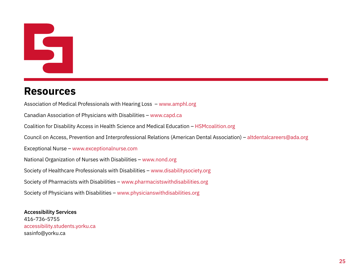# 

# **Resources**

Association of Medical Professionals with Hearing Loss – [www.amphl.org](http://www.amphl.org)

Canadian Association of Physicians with Disabilities – [www.capd.ca](http://www.capd.ca )

Coalition for Disability Access in Health Science and Medical Education – [HSMcoalition.org](http://HSMcoalition.org)

Council on Access, Prevention and Interprofessional Relations (American Dental Association) – [altdentalcareers@ada.org](mailto:altdentalcareers%40ada.org?subject=)

Exceptional Nurse – [www.exceptionalnurse.com](http://www.exceptionalnurse.com)

National Organization of Nurses with Disabilities – [www.nond.org](http://www.nond.org)

Society of Healthcare Professionals with Disabilities – [www.disabilitysociety.org](http://www.disabilitysociety.org)

Society of Pharmacists with Disabilities – [www.pharmacistswithdisabilities.org](http://www.pharmacistswithdisabilities.org)

Society of Physicians with Disabilities – [www.physicianswithdisabilities.org](http://www.physicianswithdisabilities.org)

**Accessibility Services** 416-736-5755 [accessibility.students.yorku.ca](https://accessibility.students.yorku.ca/)  [sasinfo@yorku.ca](mailto:sasinfo%40yorku.ca?subject=)